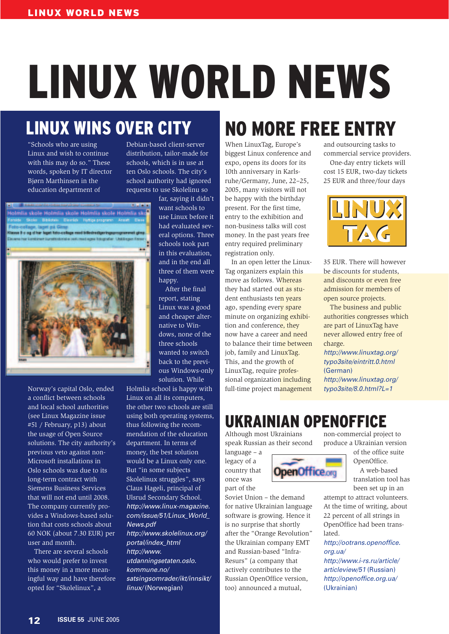# LINUX WORLD NEWS

## LINUX WINS OVER CITY

"Schools who are using Linux and wish to continue with this may do so." These words, spoken by IT director Bjørn Marthinsen in the education department of

Debian-based client-server distribution, tailor-made for schools, which is in use at ten Oslo schools. The city's school authority had ignored requests to use Skolelinu so

Holmlia skole Holmlia skole Holmlia skole Holmlia sl lesse it c og ci har leget foto-college med billedredgeringsprogramm



Norway's capital Oslo, ended a conflict between schools and local school authorities (see Linux Magazine issue #51 / February, p13) about the usage of Open Source solutions. The city authority's previous veto against non-Microsoft installations in Oslo schools was due to its long-term contract with Siemens Business Services that will not end until 2008. The company currently provides a Windows-based solution that costs schools about 60 NOK (about 7.30 EUR) per user and month.

There are several schools who would prefer to invest this money in a more meaningful way and have therefore opted for "Skolelinux", a

far, saying it didn't want schools to use Linux before it had evaluated several options. Three schools took part in this evaluation, and in the end all three of them were happy.

After the final report, stating Linux was a good and cheaper alternative to Windows, none of the three schools wanted to switch back to the previous Windows-only solution. While

Holmlia school is happy with Linux on all its computers, the other two schools are still using both operating systems, thus following the recommendation of the education department. In terms of money, the best solution would be a Linux only one. But "in some subjects Skolelinux struggles", says Claus Hageli, principal of Ulsrud Secondary School. *http://www.linux-magazine. com/issue/51/Linux\_World\_ News.pdf*

*http://www.skolelinux.org/ portal/index\_html http://www. utdanningsetaten.oslo. kommune.no/ satsingsomrader/ikt/innsikt/ linux/* (Norwegian)

#### NO MORE FREE ENTRY When LinuxTag, Europe's biggest Linux conference and

expo, opens its doors for its 10th anniversary in Karlsruhe/Germany, June, 22–25, 2005, many visitors will not be happy with the birthday present. For the first time, entry to the exhibition and non-business talks will cost money. In the past years free entry required preliminary registration only.

In an open letter the Linux-Tag organizers explain this move as follows. Whereas they had started out as student enthusiasts ten years ago, spending every spare minute on organizing exhibition and conference, they now have a career and need to balance their time between job, family and LinuxTag. This, and the growth of LinuxTag, require professional organization including full-time project management and outsourcing tasks to commercial service providers. One-day entry tickets will cost 15 EUR, two-day tickets 25 EUR and three/four days



35 EUR. There will however be discounts for students, and discounts or even free admission for members of open source projects.

The business and public authorities congresses which are part of LinuxTag have never allowed entry free of charge.

*http://www.linuxtag.org/ typo3site/eintritt.0.html* (German) *http://www.linuxtag.org/ typo3site/8.0.html?L=1*

## UKRAINIAN OPENOFFICE

Although most Ukrainians speak Russian as their second

language – a legacy of a country that once was part of the

Soviet Union – the demand for native Ukrainian language software is growing. Hence it is no surprise that shortly after the "Orange Revolution" the Ukrainian company EMT and Russian-based "Infra-Resurs" (a company that actively contributes to the Russian OpenOffice version, too) announced a mutual,

non-commercial project to produce a Ukrainian version

> of the office suite OpenOffice.

A web-based translation tool has been set up in an

attempt to attract volunteers. At the time of writing, about 22 percent of all strings in OpenOffice had been translated.

*http://ootrans.openoffice. org.ua/*

*http://www.i-rs.ru/article/ articleview/51* (Russian) *http://openoffice.org.ua/* (Ukrainian)